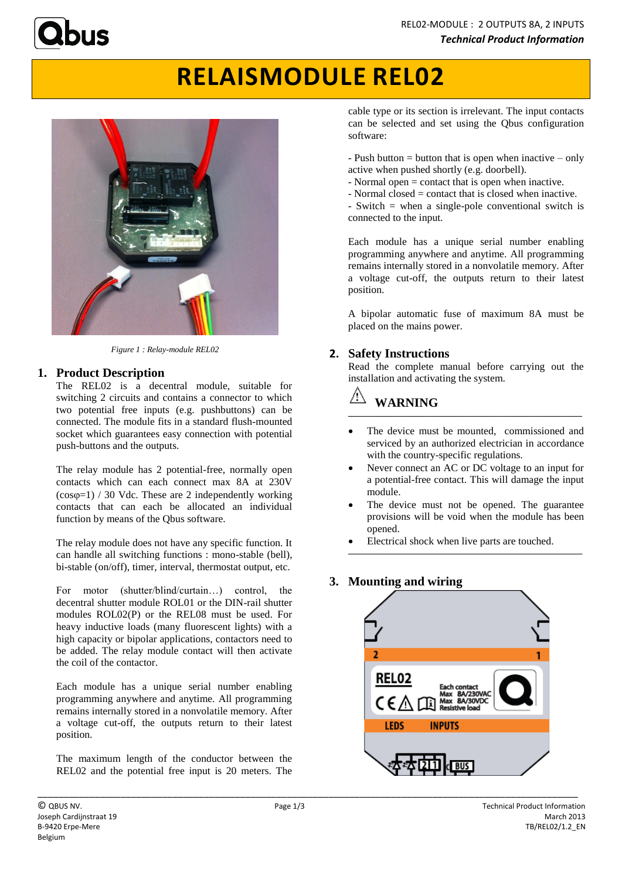# **RELAISMODULE REL02**



*Figure 1 : Relay-module REL02*

## **1. Product Description**

The REL02 is a decentral module, suitable for switching 2 circuits and contains a connector to which two potential free inputs (e.g. pushbuttons) can be connected. The module fits in a standard flush-mounted socket which guarantees easy connection with potential push-buttons and the outputs.

The relay module has 2 potential-free, normally open contacts which can each connect max 8A at 230V  $(cos\varphi=1)$  / 30 Vdc. These are 2 independently working contacts that can each be allocated an individual function by means of the Qbus software.

The relay module does not have any specific function. It can handle all switching functions : mono-stable (bell), bi-stable (on/off), timer, interval, thermostat output, etc.

For motor (shutter/blind/curtain...) control, the decentral shutter module ROL01 or the DIN-rail shutter modules ROL02(P) or the REL08 must be used. For heavy inductive loads (many fluorescent lights) with a high capacity or bipolar applications, contactors need to be added. The relay module contact will then activate the coil of the contactor.

Each module has a unique serial number enabling programming anywhere and anytime. All programming remains internally stored in a nonvolatile memory. After a voltage cut-off, the outputs return to their latest position.

The maximum length of the conductor between the REL02 and the potential free input is 20 meters. The cable type or its section is irrelevant. The input contacts can be selected and set using the Qbus configuration software:

- Push button  $=$  button that is open when inactive  $-$  only active when pushed shortly (e.g. doorbell).

- Normal open = contact that is open when inactive.
- Normal closed = contact that is closed when inactive.

- Switch = when a single-pole conventional switch is connected to the input.

Each module has a unique serial number enabling programming anywhere and anytime. All programming remains internally stored in a nonvolatile memory. After a voltage cut-off, the outputs return to their latest position.

A bipolar automatic fuse of maximum 8A must be placed on the mains power.

## **2. Safety Instructions**

Read the complete manual before carrying out the installation and activating the system.

### **WARNING \_\_\_\_\_\_\_\_\_\_\_\_\_\_\_\_\_\_\_\_\_\_\_\_\_\_\_\_\_\_\_\_\_\_\_\_\_\_\_\_\_\_\_\_\_\_\_\_\_\_\_\_\_\_\_\_**

- The device must be mounted, commissioned and serviced by an authorized electrician in accordance with the country-specific regulations.
- Never connect an AC or DC voltage to an input for a potential-free contact. This will damage the input module.
- The device must not be opened. The guarantee provisions will be void when the module has been opened.
- Electrical shock when live parts are touched. **\_\_\_\_\_\_\_\_\_\_\_\_\_\_\_\_\_\_\_\_\_\_\_\_\_\_\_\_\_\_\_\_\_\_\_\_\_\_\_\_\_\_\_\_\_\_\_\_\_\_\_\_\_\_\_\_**

## **3. Mounting and wiring**



\_\_\_\_\_\_\_\_\_\_\_\_\_\_\_\_\_\_\_\_\_\_\_\_\_\_\_\_\_\_\_\_\_\_\_\_\_\_\_\_\_\_\_\_\_\_\_\_\_\_\_\_\_\_\_\_\_\_\_\_\_\_\_\_\_\_\_\_\_\_\_\_\_\_\_\_\_\_\_\_\_\_\_\_\_\_\_\_\_\_\_\_\_\_\_\_\_\_\_\_\_\_\_\_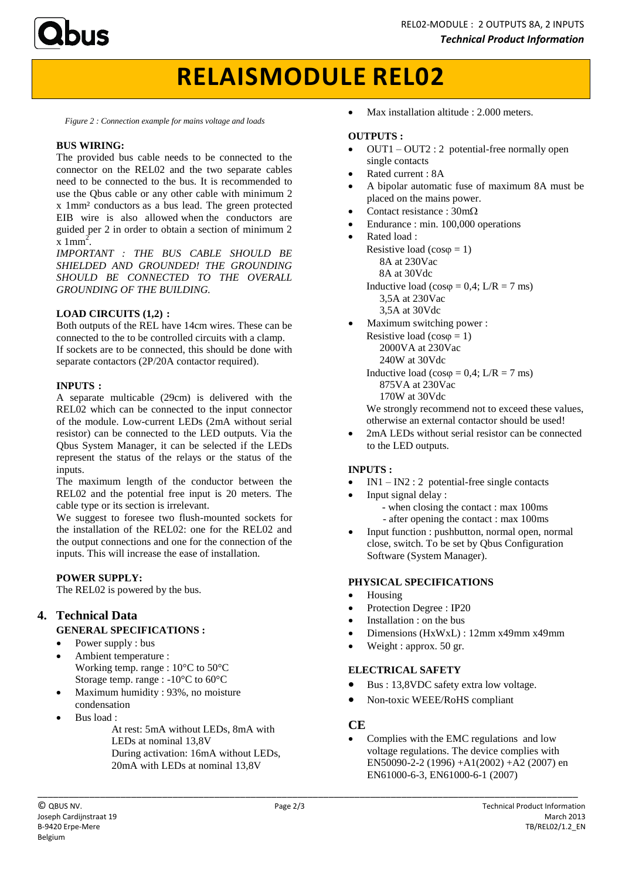

## **RELAISMODULE REL02**

*Figure 2 : Connection example for mains voltage and loads*

#### **BUS WIRING:**

The provided bus cable needs to be connected to the connector on the REL02 and the two separate cables need to be connected to the bus. It is recommended to use the Qbus cable or any other cable with minimum 2 x 1mm² conductors as a bus lead. The green protected EIB wire is also allowed when the conductors are guided per 2 in order to obtain a section of minimum 2  $\bar{x}$  1mm<sup>2</sup>.

*IMPORTANT : THE BUS CABLE SHOULD BE SHIELDED AND GROUNDED! THE GROUNDING SHOULD BE CONNECTED TO THE OVERALL GROUNDING OF THE BUILDING.*

### **LOAD CIRCUITS (1,2) :**

Both outputs of the REL have 14cm wires. These can be connected to the to be controlled circuits with a clamp. If sockets are to be connected, this should be done with separate contactors (2P/20A contactor required).

#### **INPUTS :**

A separate multicable (29cm) is delivered with the REL02 which can be connected to the input connector of the module. Low-current LEDs (2mA without serial resistor) can be connected to the LED outputs. Via the Qbus System Manager, it can be selected if the LEDs represent the status of the relays or the status of the inputs.

The maximum length of the conductor between the REL02 and the potential free input is 20 meters. The cable type or its section is irrelevant.

We suggest to foresee two flush-mounted sockets for the installation of the REL02: one for the REL02 and the output connections and one for the connection of the inputs. This will increase the ease of installation.

#### **POWER SUPPLY:**

The REL02 is powered by the bus.

## **4. Technical Data**

#### **GENERAL SPECIFICATIONS :**

- Power supply : bus
- Ambient temperature : Working temp. range : 10°C to 50°C Storage temp. range : -10°C to 60°C
- Maximum humidity : 93%, no moisture condensation
- Bus load :
	- At rest: 5mA without LEDs, 8mA with LEDs at nominal 13,8V During activation: 16mA without LEDs, 20mA with LEDs at nominal 13,8V

Max installation altitude : 2.000 meters.

#### **OUTPUTS :**

- OUT1 OUT2 : 2 potential-free normally open single contacts
- Rated current : 8A
- A bipolar automatic fuse of maximum 8A must be placed on the mains power.
- Contact resistance :  $30 \text{m}\Omega$
- Endurance : min. 100,000 operations
	- Rated load : Resistive load  $(cos \varphi = 1)$  8A at 230Vac 8A at 30Vdc Inductive load ( $\cos \varphi = 0.4$ ; L/R = 7 ms) 3,5A at 230Vac 3,5A at 30Vdc Maximum switching power :
- Resistive load ( $cos \varphi = 1$ ) 2000VA at 230Vac 240W at 30Vdc Inductive load ( $\cos \varphi = 0.4$ ; L/R = 7 ms) 875VA at 230Vac 170W at 30Vdc

We strongly recommend not to exceed these values, otherwise an external contactor should be used!

 2mA LEDs without serial resistor can be connected to the LED outputs.

## **INPUTS :**

- IN1 IN2 : 2 potential-free single contacts
- Input signal delay : - when closing the contact : max 100ms - after opening the contact : max 100ms
- Input function : pushbutton, normal open, normal close, switch. To be set by Qbus Configuration Software (System Manager).

#### **PHYSICAL SPECIFICATIONS**

- Housing
- Protection Degree : IP20
- Installation : on the bus
- Dimensions (HxWxL) : 12mm x49mm x49mm
- Weight : approx. 50 gr.

## **ELECTRICAL SAFETY**

- Bus : 13,8VDC safety extra low voltage.
- Non-toxic WEEE/RoHS compliant

## **CE**

 Complies with the EMC regulations and low voltage regulations. The device complies with EN50090-2-2 (1996) +A1(2002) +A2 (2007) en EN61000-6-3, EN61000-6-1 (2007)

\_\_\_\_\_\_\_\_\_\_\_\_\_\_\_\_\_\_\_\_\_\_\_\_\_\_\_\_\_\_\_\_\_\_\_\_\_\_\_\_\_\_\_\_\_\_\_\_\_\_\_\_\_\_\_\_\_\_\_\_\_\_\_\_\_\_\_\_\_\_\_\_\_\_\_\_\_\_\_\_\_\_\_\_\_\_\_\_\_\_\_\_\_\_\_\_\_\_\_\_\_\_\_\_